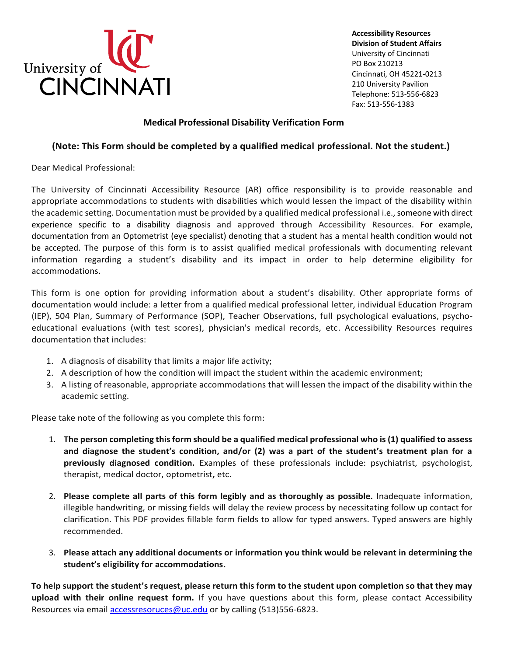

**Accessibility Resources Division of Student Affairs** University of Cincinnati PO Box 210213 Cincinnati, OH 45221-0213 210 University Pavilion Telephone: 513-556-6823 Fax: 513-556-1383

## **Medical Professional Disability Verification Form**

## **(Note: This Form should be completed by a qualified medical professional. Not the student.)**

Dear Medical Professional:

The University of Cincinnati Accessibility Resource (AR) office responsibility is to provide reasonable and appropriate accommodations to students with disabilities which would lessen the impact of the disability within the academic setting. Documentation must be provided by a qualified medical professional i.e., someone with direct experience specific to a disability diagnosis and approved through Accessibility Resources. For example, documentation from an Optometrist (eye specialist) denoting that a student has a mental health condition would not be accepted. The purpose of this form is to assist qualified medical professionals with documenting relevant information regarding a student's disability and its impact in order to help determine eligibility for accommodations.

This form is one option for providing information about a student's disability. Other appropriate forms of documentation would include: a letter from a qualified medical professional letter, individual Education Program (IEP), 504 Plan, Summary of Performance (SOP), Teacher Observations, full psychological evaluations, psychoeducational evaluations (with test scores), physician's medical records, etc. Accessibility Resources requires documentation that includes:

- 1. A diagnosis of disability that limits a major life activity;
- 2. A description of how the condition will impact the student within the academic environment;
- 3. A listing of reasonable, appropriate accommodations that will lessen the impact of the disability within the academic setting.

Please take note of the following as you complete this form:

- 1. **The person completing this form should be a qualified medical professional who is (1) qualified to assess and diagnose the student's condition, and/or (2) was a part of the student's treatment plan for a previously diagnosed condition.** Examples of these professionals include: psychiatrist, psychologist, therapist, medical doctor, optometrist**,** etc.
- 2. **Please complete all parts of this form legibly and as thoroughly as possible.** Inadequate information, illegible handwriting, or missing fields will delay the review process by necessitating follow up contact for clarification. This PDF provides fillable form fields to allow for typed answers. Typed answers are highly recommended.
- 3. **Please attach any additional documents or information you think would be relevant in determining the student's eligibility for accommodations.**

**To help support the student's request, please return this form to the student upon completion so that they may upload with their online request form.** If you have questions about this form, please contact Accessibility Resources via email [accessresoruces@uc.edu](mailto:accessresoruces@uc.edu) or by calling (513)556-6823.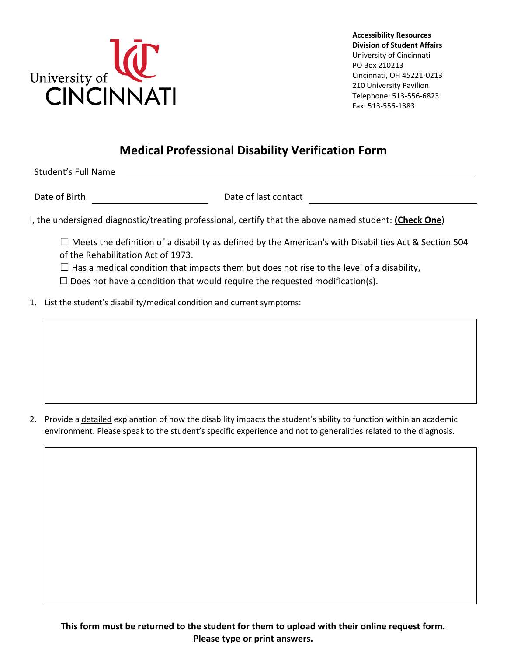

## **Medical Professional Disability Verification Form**

Student's Full Name

Date of Birth Date of last contact

I, the undersigned diagnostic/treating professional, certify that the above named student: **(Check One**)

 $\Box$  Meets the definition of a disability as defined by the American's with Disabilities Act & Section 504 of the Rehabilitation Act of 1973.

 $\Box$  Has a medical condition that impacts them but does not rise to the level of a disability,

 $\Box$  Does not have a condition that would require the requested modification(s).

1. List the student's disability/medical condition and current symptoms:

2. Provide a detailed explanation of how the disability impacts the student's ability to function within an academic environment. Please speak to the student's specific experience and not to generalities related to the diagnosis.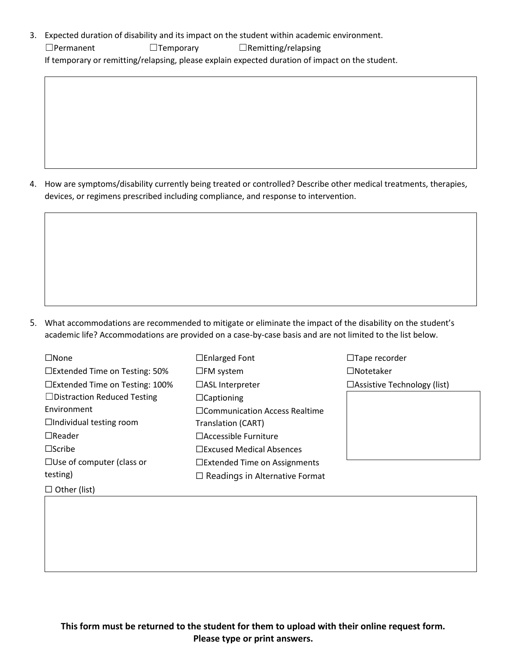3. Expected duration of disability and its impact on the student within academic environment. ☐Permanent ☐Temporary ☐Remitting/relapsing If temporary or remitting/relapsing, please explain expected duration of impact on the student.

4. How are symptoms/disability currently being treated or controlled? Describe other medical treatments, therapies, devices, or regimens prescribed including compliance, and response to intervention.

5. What accommodations are recommended to mitigate or eliminate the impact of the disability on the student's academic life? Accommodations are provided on a case-by-case basis and are not limited to the list below.

| $\Box$ None                          | $\Box$ Enlarged Font                  |
|--------------------------------------|---------------------------------------|
| $\Box$ Extended Time on Testing: 50% | $\square$ FM system                   |
| □Extended Time on Testing: 100%      | $\Box$ ASL Interpreter                |
| $\Box$ Distraction Reduced Testing   | $\Box$ Captioning                     |
| Environment                          | □ Communication Access Realtime       |
| $\Box$ Individual testing room       | Translation (CART)                    |
| $\Box$ Reader                        | $\Box$ Accessible Furniture           |
| $\square$ Scribe                     | $\Box$ Excused Medical Absences       |
| $\Box$ Use of computer (class or     | $\Box$ Extended Time on Assignments   |
| testing)                             | $\Box$ Readings in Alternative Format |
| Other (list)                         |                                       |

☐Tape recorder ☐Notetaker ☐Assistive Technology (list)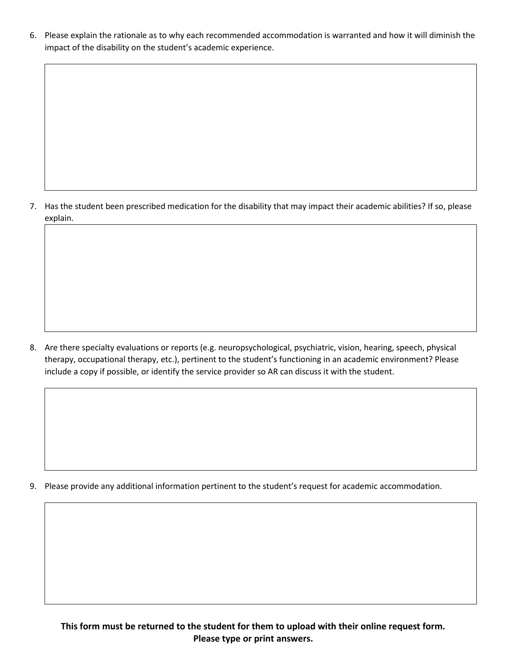6. Please explain the rationale as to why each recommended accommodation is warranted and how it will diminish the impact of the disability on the student's academic experience.

7. Has the student been prescribed medication for the disability that may impact their academic abilities? If so, please explain.

8. Are there specialty evaluations or reports (e.g. neuropsychological, psychiatric, vision, hearing, speech, physical therapy, occupational therapy, etc.), pertinent to the student's functioning in an academic environment? Please include a copy if possible, or identify the service provider so AR can discuss it with the student.

9. Please provide any additional information pertinent to the student's request for academic accommodation.